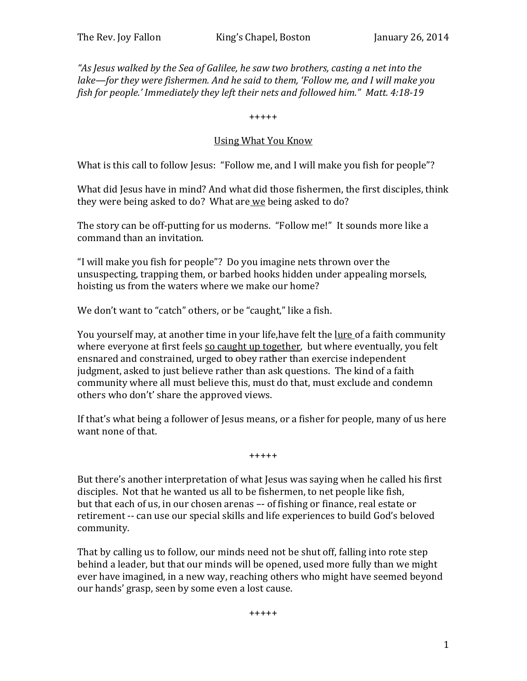*"As Jesus walked by the Sea of Galilee, he saw two brothers, casting a net into the lake—for they were fishermen. And he said to them, 'Follow me, and I will make you fish for people.' Immediately they left their nets and followed him." Matt. 4:18-19*

+++++

## Using What You Know

What is this call to follow Jesus: "Follow me, and I will make you fish for people"?

What did Jesus have in mind? And what did those fishermen, the first disciples, think they were being asked to do? What are we being asked to do?

The story can be off-putting for us moderns. "Follow me!" It sounds more like a command than an invitation.

"I will make you fish for people"? Do you imagine nets thrown over the unsuspecting, trapping them, or barbed hooks hidden under appealing morsels, hoisting us from the waters where we make our home?

We don't want to "catch" others, or be "caught," like a fish.

You yourself may, at another time in your life, have felt the lure of a faith community where everyone at first feels so caught up together, but where eventually, you felt ensnared and constrained, urged to obey rather than exercise independent judgment, asked to just believe rather than ask questions. The kind of a faith community where all must believe this, must do that, must exclude and condemn others who don't' share the approved views.

If that's what being a follower of Jesus means, or a fisher for people, many of us here want none of that.

+++++

But there's another interpretation of what Jesus was saying when he called his first disciples. Not that he wanted us all to be fishermen, to net people like fish, but that each of us, in our chosen arenas –- of fishing or finance, real estate or retirement -- can use our special skills and life experiences to build God's beloved community.

That by calling us to follow, our minds need not be shut off, falling into rote step behind a leader, but that our minds will be opened, used more fully than we might ever have imagined, in a new way, reaching others who might have seemed beyond our hands' grasp, seen by some even a lost cause.

+++++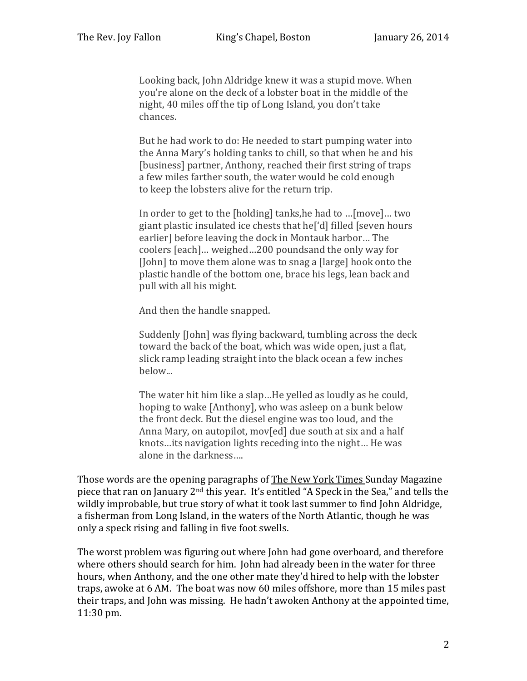Looking back, John Aldridge knew it was a stupid move. When you're alone on the deck of a lobster boat in the middle of the night, 40 miles off the tip of Long Island, you don't take chances.

But he had work to do: He needed to start pumping water into the Anna Mary's holding tanks to chill, so that when he and his [business] partner, Anthony, reached their first string of traps a few miles farther south, the water would be cold enough to keep the lobsters alive for the return trip.

In order to get to the [holding] tanks,he had to …[move]… two giant plastic insulated ice chests that he['d] filled [seven hours earlier] before leaving the dock in Montauk harbor… The coolers [each]… weighed…200 poundsand the only way for [John] to move them alone was to snag a [large] hook onto the plastic handle of the bottom one, brace his legs, lean back and pull with all his might.

And then the handle snapped.

Suddenly [John] was flying backward, tumbling across the deck toward the back of the boat, which was wide open, just a flat, slick ramp leading straight into the black ocean a few inches below...

The water hit him like a slap…He yelled as loudly as he could, hoping to wake [Anthony], who was asleep on a bunk below the front deck. But the diesel engine was too loud, and the Anna Mary, on autopilot, mov[ed] due south at six and a half knots…its navigation lights receding into the night… He was alone in the darkness….

Those words are the opening paragraphs of The New York Times Sunday Magazine piece that ran on January 2nd this year. It's entitled "A Speck in the Sea," and tells the wildly improbable, but true story of what it took last summer to find John Aldridge, a fisherman from Long Island, in the waters of the North Atlantic, though he was only a speck rising and falling in five foot swells.

The worst problem was figuring out where John had gone overboard, and therefore where others should search for him. John had already been in the water for three hours, when Anthony, and the one other mate they'd hired to help with the lobster traps, awoke at 6 AM. The boat was now 60 miles offshore, more than 15 miles past their traps, and John was missing. He hadn't awoken Anthony at the appointed time, 11:30 pm.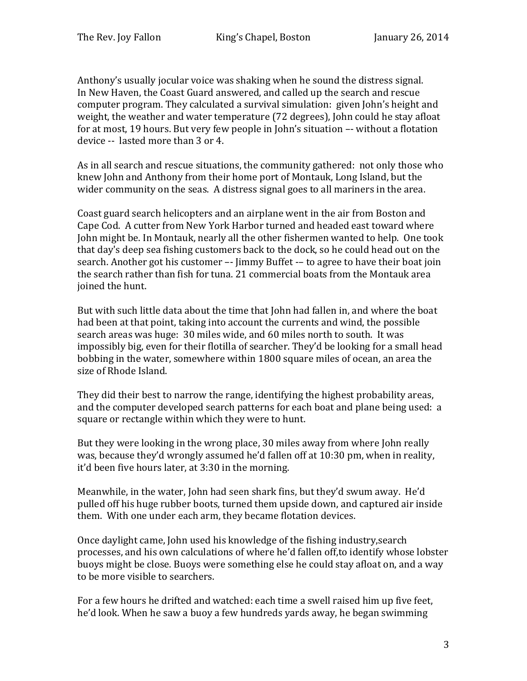Anthony's usually jocular voice was shaking when he sound the distress signal. In New Haven, the Coast Guard answered, and called up the search and rescue computer program. They calculated a survival simulation: given John's height and weight, the weather and water temperature (72 degrees), John could he stay afloat for at most, 19 hours. But very few people in John's situation –- without a flotation device -- lasted more than 3 or 4.

As in all search and rescue situations, the community gathered: not only those who knew John and Anthony from their home port of Montauk, Long Island, but the wider community on the seas. A distress signal goes to all mariners in the area.

Coast guard search helicopters and an airplane went in the air from Boston and Cape Cod. A cutter from New York Harbor turned and headed east toward where John might be. In Montauk, nearly all the other fishermen wanted to help. One took that day's deep sea fishing customers back to the dock, so he could head out on the search. Another got his customer –- Jimmy Buffet -– to agree to have their boat join the search rather than fish for tuna. 21 commercial boats from the Montauk area joined the hunt.

But with such little data about the time that John had fallen in, and where the boat had been at that point, taking into account the currents and wind, the possible search areas was huge: 30 miles wide, and 60 miles north to south. It was impossibly big, even for their flotilla of searcher. They'd be looking for a small head bobbing in the water, somewhere within 1800 square miles of ocean, an area the size of Rhode Island.

They did their best to narrow the range, identifying the highest probability areas, and the computer developed search patterns for each boat and plane being used: a square or rectangle within which they were to hunt.

But they were looking in the wrong place, 30 miles away from where John really was, because they'd wrongly assumed he'd fallen off at 10:30 pm, when in reality, it'd been five hours later, at 3:30 in the morning.

Meanwhile, in the water, John had seen shark fins, but they'd swum away. He'd pulled off his huge rubber boots, turned them upside down, and captured air inside them. With one under each arm, they became flotation devices.

Once daylight came, John used his knowledge of the fishing industry,search processes, and his own calculations of where he'd fallen off,to identify whose lobster buoys might be close. Buoys were something else he could stay afloat on, and a way to be more visible to searchers.

For a few hours he drifted and watched: each time a swell raised him up five feet, he'd look. When he saw a buoy a few hundreds yards away, he began swimming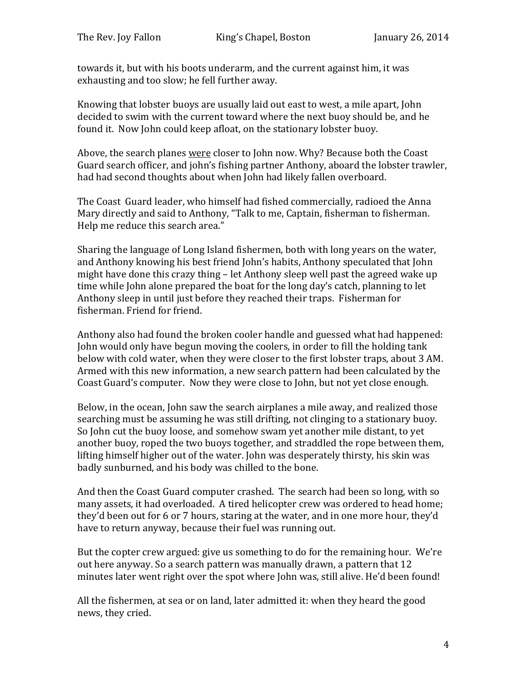towards it, but with his boots underarm, and the current against him, it was exhausting and too slow; he fell further away.

Knowing that lobster buoys are usually laid out east to west, a mile apart, John decided to swim with the current toward where the next buoy should be, and he found it. Now John could keep afloat, on the stationary lobster buoy.

Above, the search planes were closer to John now. Why? Because both the Coast Guard search officer, and john's fishing partner Anthony, aboard the lobster trawler, had had second thoughts about when John had likely fallen overboard.

The Coast Guard leader, who himself had fished commercially, radioed the Anna Mary directly and said to Anthony, "Talk to me, Captain, fisherman to fisherman. Help me reduce this search area."

Sharing the language of Long Island fishermen, both with long years on the water, and Anthony knowing his best friend John's habits, Anthony speculated that John might have done this crazy thing – let Anthony sleep well past the agreed wake up time while John alone prepared the boat for the long day's catch, planning to let Anthony sleep in until just before they reached their traps. Fisherman for fisherman. Friend for friend.

Anthony also had found the broken cooler handle and guessed what had happened: John would only have begun moving the coolers, in order to fill the holding tank below with cold water, when they were closer to the first lobster traps, about 3 AM. Armed with this new information, a new search pattern had been calculated by the Coast Guard's computer. Now they were close to John, but not yet close enough.

Below, in the ocean, John saw the search airplanes a mile away, and realized those searching must be assuming he was still drifting, not clinging to a stationary buoy. So John cut the buoy loose, and somehow swam yet another mile distant, to yet another buoy, roped the two buoys together, and straddled the rope between them, lifting himself higher out of the water. John was desperately thirsty, his skin was badly sunburned, and his body was chilled to the bone.

And then the Coast Guard computer crashed. The search had been so long, with so many assets, it had overloaded. A tired helicopter crew was ordered to head home; they'd been out for 6 or 7 hours, staring at the water, and in one more hour, they'd have to return anyway, because their fuel was running out.

But the copter crew argued: give us something to do for the remaining hour. We're out here anyway. So a search pattern was manually drawn, a pattern that 12 minutes later went right over the spot where John was, still alive. He'd been found!

All the fishermen, at sea or on land, later admitted it: when they heard the good news, they cried.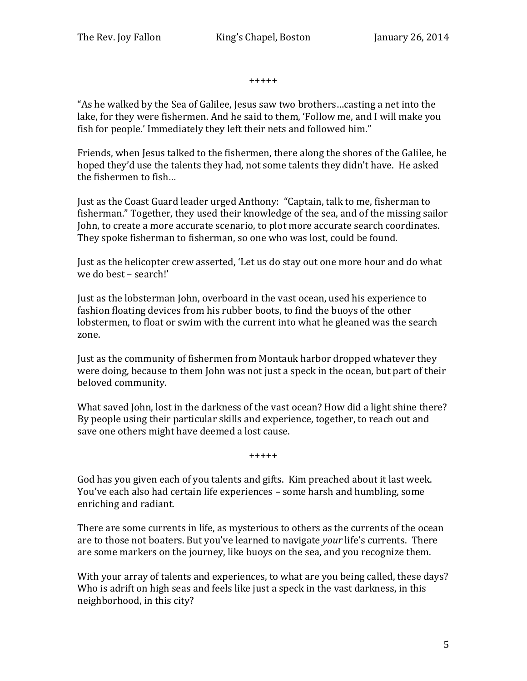+++++

"As he walked by the Sea of Galilee, Jesus saw two brothers…casting a net into the lake, for they were fishermen. And he said to them, 'Follow me, and I will make you fish for people.' Immediately they left their nets and followed him."

Friends, when Jesus talked to the fishermen, there along the shores of the Galilee, he hoped they'd use the talents they had, not some talents they didn't have. He asked the fishermen to fish…

Just as the Coast Guard leader urged Anthony: "Captain, talk to me, fisherman to fisherman." Together, they used their knowledge of the sea, and of the missing sailor John, to create a more accurate scenario, to plot more accurate search coordinates. They spoke fisherman to fisherman, so one who was lost, could be found.

Just as the helicopter crew asserted, 'Let us do stay out one more hour and do what we do best – search!'

Just as the lobsterman John, overboard in the vast ocean, used his experience to fashion floating devices from his rubber boots, to find the buoys of the other lobstermen, to float or swim with the current into what he gleaned was the search zone.

Just as the community of fishermen from Montauk harbor dropped whatever they were doing, because to them John was not just a speck in the ocean, but part of their beloved community.

What saved John, lost in the darkness of the vast ocean? How did a light shine there? By people using their particular skills and experience, together, to reach out and save one others might have deemed a lost cause.

+++++

God has you given each of you talents and gifts. Kim preached about it last week. You've each also had certain life experiences – some harsh and humbling, some enriching and radiant.

There are some currents in life, as mysterious to others as the currents of the ocean are to those not boaters. But you've learned to navigate *your* life's currents. There are some markers on the journey, like buoys on the sea, and you recognize them.

With your array of talents and experiences, to what are you being called, these days? Who is adrift on high seas and feels like just a speck in the vast darkness, in this neighborhood, in this city?